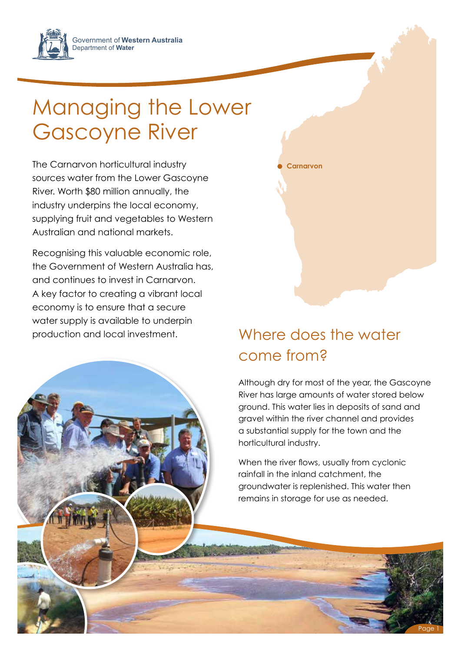Government of **Western Australia** Department of **Water**

## Managing the Lower Gascoyne River

The Carnarvon horticultural industry sources water from the Lower Gascoyne River. Worth \$80 million annually, the industry underpins the local economy, supplying fruit and vegetables to Western Australian and national markets.

Recognising this valuable economic role, the Government of Western Australia has, and continues to invest in Carnarvon. A key factor to creating a vibrant local economy is to ensure that a secure water supply is available to underpin production and local investment.

## Where does the water come from?

**Carnarvon**

Although dry for most of the year, the Gascoyne River has large amounts of water stored below ground. This water lies in deposits of sand and gravel within the river channel and provides a substantial supply for the town and the horticultural industry.

When the river flows, usually from cyclonic rainfall in the inland catchment, the groundwater is replenished. This water then remains in storage for use as needed.

Page 1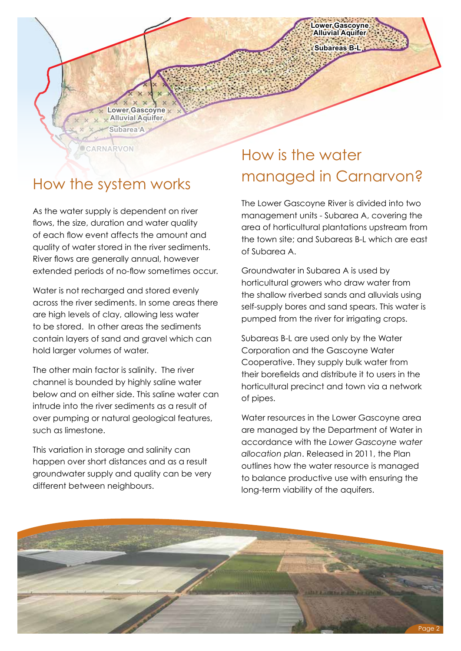**Subareas B-L Lower Gascoyne Alluvial Aquifer**

## How the system works

**CARNARVON**

*NORTH e*<br>Id wa extended periods of no-flow sometimes occur. tiow<br>of e<br>quc<br>Rive flows, the size, duration and water quality River flows are generally annual, however As the water supply is dependent on river of each flow event affects the amount and quality of water stored in the river sediments.

**Subarea A**

**Lower Gascoyne Alluvial Aquifer**

Water is not recharged and stored evenly across the river sediments. In some areas there are high levels of clay, allowing less water to be stored. In other areas the sediments contain layers of sand and gravel which can hold larger volumes of water.

The other main factor is salinity. The river channel is bounded by highly saline water below and on either side. This saline water can intrude into the river sediments as a result of over pumping or natural geological features, such as limestone.

This variation in storage and salinity can happen over short distances and as a result groundwater supply and quality can be very different between neighbours.

## How is the water managed in Carnarvon?

management units - Subarea A, covering the The Lower Gascoyne River is divided into two area of horticultural plantations upstream from the town site; and Subareas B-L which are east of Subarea A.

Groundwater in Subarea A is used by horticultural growers who draw water from the shallow riverbed sands and alluvials using self-supply bores and sand spears. This water is pumped from the river for irrigating crops.

Subareas B-L are used only by the Water Corporation and the Gascoyne Water Cooperative. They supply bulk water from their borefields and distribute it to users in the horticultural precinct and town via a network of pipes.

Water resources in the Lower Gascoyne area are managed by the Department of Water in accordance with the *Lower Gascoyne water allocation plan*. Released in 2011, the Plan outlines how the water resource is managed to balance productive use with ensuring the long-term viability of the aquifers.

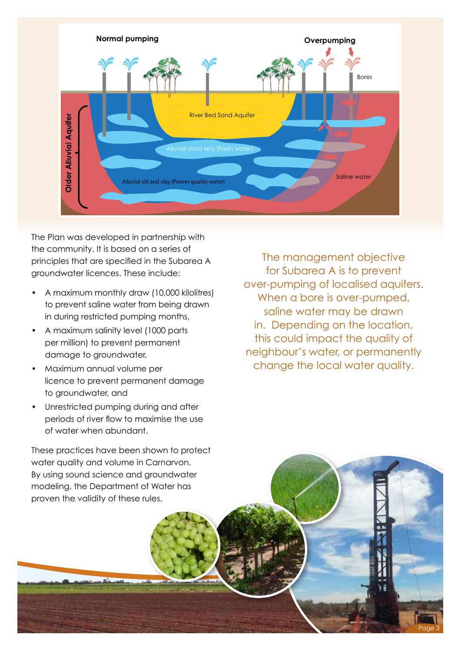

The Plan was developed in partnership with the community. It is based on a series of principles that are specified in the Subarea A groundwater licences. These include:

- A maximum monthly draw (10,000 kilolitres) to prevent saline water from being drawn in during restricted pumping months,
- A maximum salinity level (1000 parts per million) to prevent permanent damage to groundwater,
- Maximum annual volume per licence to prevent permanent damage to groundwater, and
- Unrestricted pumping during and after periods of river flow to maximise the use of water when abundant.

The management objective for Subarea A is to prevent over-pumping of localised aquifers. When a bore is over-pumped, saline water may be drawn in. Depending on the location, this could impact the quality of neighbour's water, or permanently change the local water quality.

Page 3

These practices have been shown to protect water quality and volume in Carnarvon. By using sound science and groundwater modeling, the Department of Water has proven the validity of these rules.